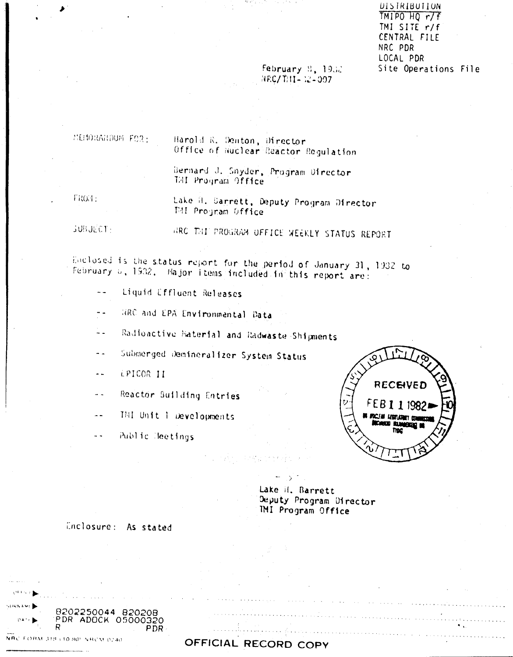DISTRIBUTION  $TM1P0H0r/F$ TMI SITE r/f CENTRAL FILE NRC PDR LOCAL PDR Site Operations File

#### February 8, 1932  $NRC/T/11 - 12 - 007$

MENDRANDUM FOR:

Harold R. Denton, Director Office of Nuclear Reactor Regulation

Bernard J. Snyder, Program Ofrector TAI Program Office

FROH:

Lake H. Sannett, Deputy Program Director THI Program Office

**SUBJECT:** 

HRC THI PROGRAM OFFICE WEEKLY STATUS REPORT

Enclosed is the status report for the period of January 31, 1932 to February 6, 1932. Hajor items included in this report are:

- Liquid Effluent Releases  $\sim$   $\sim$
- RRC and EPA Environmental Data  $\sim$   $\sim$
- Radioactive Material and Radwaste Shipments  $\sim$   $\sim$
- Submerged Demineralizer System Status  $\ddot{\phantom{a}}$
- EPICOR II  $\sim$   $\sim$
- Reactor Suilding Entries  $\sim$   $\sim$
- THI Unit I Developments  $\sim$   $\sim$
- $\sim$   $\sim$ Public Heetings

PDR-



Lake il. Barrett Deputy Program Director **IMI Program Office** 

Enclosure: As stated

8202250044 820208

PDR ADOCK 05000320

**ARTIST GIRNAME** 

 $0.421$ 

NRC FORM 318 (10.80) NRCM 0240

OFFICIAL RECORD COPY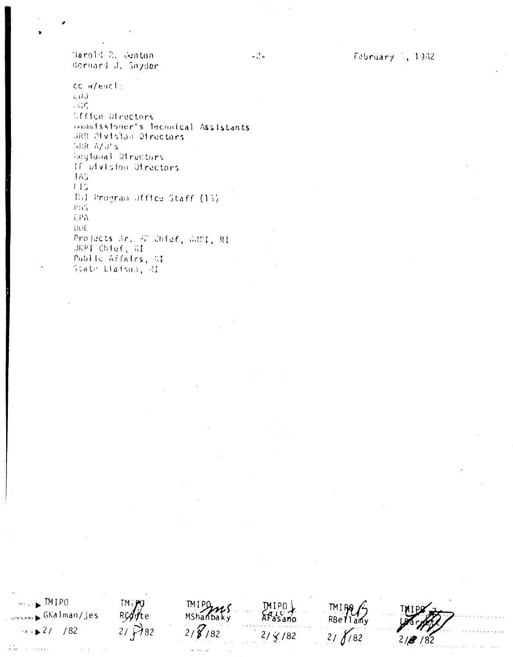February 1, 1982

Narold R. Sunton Bernard J. Snyder

cc w/encl:  $(100)$ ុន្យវិញិ Office Directors commitssioner's Technical Assistants JARR Division Directors SER A/J's Regional Ofrectors If utvision Otrectors  $11.5$  $115$ Thi Program Office Staff (15) PaG CPA DOL. Projects 3r. 42 Chief, GRDI, RI DKPI Chief, RI Public Affairs, AI State Liaison, RI

 $-2 -$ 

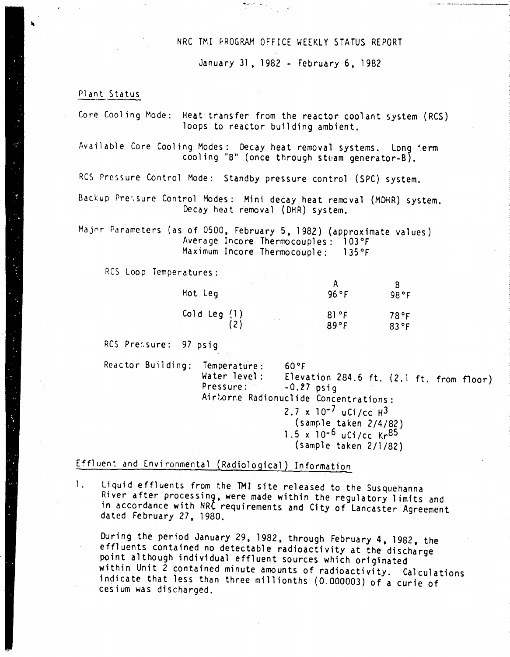#### NRC TMI PROGRAM OFFICE WEEKLY STATUS REPORT

January 31, 1982 - February 6, 1982

#### Plant Status

| Core Cooling Mode: Heat transfer from the reactor coolant system (RCS)<br>loops to reactor building ambient.         |
|----------------------------------------------------------------------------------------------------------------------|
| Available Core Cooling Modes: Decay heat removal systems. Long term<br>cooling "B" (once through steam generator-B). |

Res Pressure Control Mode: Standby pressure control (SPC) system.

8ackup Pre',sure Control Modes: Mini decay heat reroova1 (MOHR) system. Decay heat removal (OHR) system.

Major Parameters (as of 0500, February 5, 1982) (approximate values) Average Incore Thermocouples: 103°F Maximum Incore Thermocouple: 135°F

Res Loop Temperatures:

| Hot Leg        | 96 °F | 98°F |
|----------------|-------|------|
| Cold Leg (1)   | 81°F  | 78°F |
| $\alpha = 100$ | 89°F  | 83°F |

RCS Pressure: 97 psig

Reactor Building: Temperature: 60°F

Water level: Elevation 284.6 ft.  $(2.1 \text{ ft. from floor})$ <br>Pressure:  $-0.27 \text{ psia}$  $-0.27$  psig Airborne Radionuclide Concentrations:

 $2.7 \times 10^{-7}$  uCi/cc  $H^3$  $(sam<sub>l</sub>)<sub>l</sub>$  (sample taken  $2/4/82$ )  $1.5 \times 10^{-6}$  uCi/cc Kr $^{85}$ 

(sample taken 2/1/82)

Effluent and Environmental (Radiological) Information

1. Liquid effluents from the TMI site released to the Susquehanna River after processing, were made within the regulatory limits and in accordance with NRC requirements and City of Lancaster Agreement dated February 27, 1980.

During the period January 29,1982, through February 4,1982, the effluents contained no detectable radioactivity at the discharge point although individual effluent sources which originated within Unit 2 contained minute amounts of radioactivity. Calculations indicate that less than three millionths (0.000003) of a curie of cesium was discharged.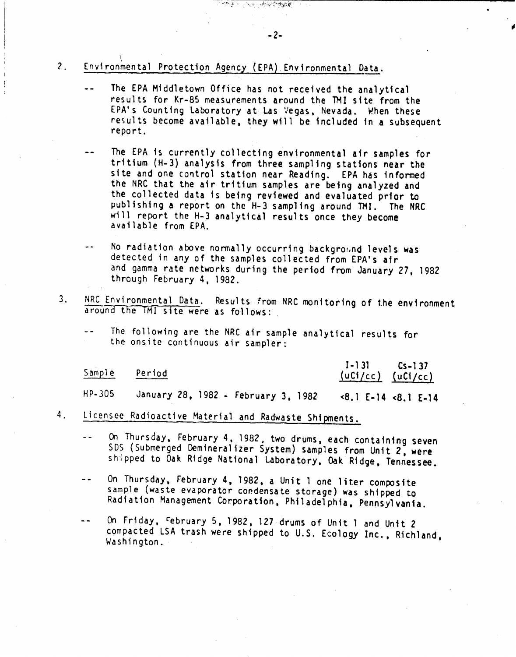## 2. Environmental Protection Agency (EPA) Environmental Data

- The EPA Middletown Office has not received the analytical results for Kr-85 measurements around the TMI site from the EPA's Counting Laboratory at Las Vegas, Nevada. When these results become available, they will be included in a subsequent report.
- The EPA is currently collecting environmental air samples for tritium (H-3) analysis from three sampling stations near the site and one control station near Reading. EPA has informed the NRC that the air tritium samples are being analyzed and the collected data is being reviewed and evaluated prior to publishing a report on the H-3 sampling around TM!. The NRC will report the H-3 analytical results once they become available from EPA.
- No radiation above normally occurring background levels was  $$ detected in any of the samples collected from EPA's air and gamma rate networks during the period from January 27, 1982 through February 4, 1982.
- 3. NRC Environmental Data. Results from NRC monitoring of the environment around the TMJ site were as follows:
	- The following are the NRC air sample analytical results for the onsite continuous air sampler:

| Sample | Period                              | $1 - 131$ $Cs - 137$<br>$(uC1/cc)$ $(uC1/cc)$                                                                                                                                                                                                                                                                                               |  |
|--------|-------------------------------------|---------------------------------------------------------------------------------------------------------------------------------------------------------------------------------------------------------------------------------------------------------------------------------------------------------------------------------------------|--|
| HP-305 | January 28, 1982 - February 3, 1982 | $\langle 8.1 \t{E} - 14 \t{S} \cdot 1 \t{E} - 14 \t{S} \cdot 1 \t{S} \cdot 14 \t{S} \cdot 14 \t{S} \cdot 14 \t{S} \cdot 14 \t{S} \cdot 14 \t{S} \cdot 14 \t{S} \cdot 14 \t{S} \cdot 14 \t{S} \cdot 14 \t{S} \cdot 14 \t{S} \cdot 14 \t{S} \cdot 14 \t{S} \cdot 14 \t{S} \cdot 14 \t{S} \cdot 14 \t{S} \cdot 14 \t{S} \cdot 14 \t{S} \cdot $ |  |

- 4. Licensee Radioactive Material and Radwaste Shipments.
	- On Thursday, February 4, 1982, two drums, each containing seven  $\sim$   $\sim$ SOS (Submerged Demineralizer System) samples from Unit *Z,* were shipped to Oak Ridge National Laboratory, Oak Ridge, Tennessee.
	- On Thursday, February 4, 1982, a Unit 1 one liter composite  $\sim$   $\sim$ sample (waste evaporator condensate storage) was shipped to Radiation Management Corporation, Philadelphia, Pennsylvania.
	- On Friday, rebruary 5, 1982, 127 drums of Unit 1 and Unit 2  $\sim$   $\sim$ compacted LSA trash were shipped to U.S. Ecology Inc., Richland, Washington.

-2-

未穿护物装置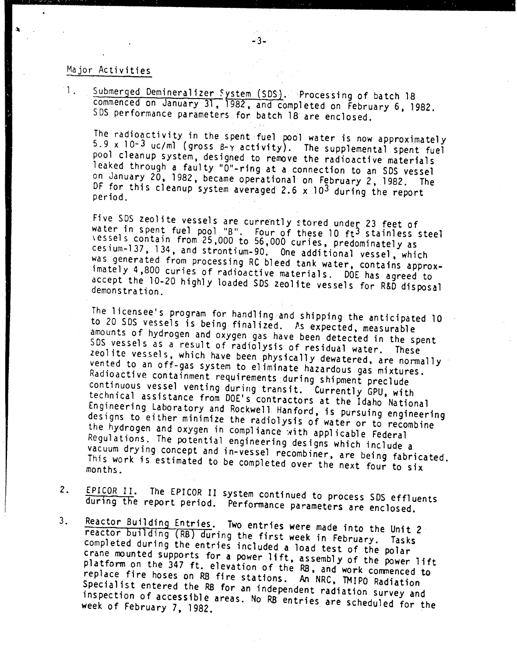#### Major Activities

1. Submerged Demineralizer System (SDS). Processing of batch 18 commenced on January 31. 1982. and completed on February 6. 1982. SOS performance parameters for batch 18 are enclosed.

The radioactivity in the spent fuel pool water is now approximately 5.9 x 10-3 *uc/ml* (gross 8-y activity). The supplemental spent fuel pool cleanup system. designed to remove the radioactive materials leaked through a faulty "O"-ring at a connection to an SDS vessel on January 20, 1982, became operational on February 2, 1982. The OF for this cleanup system averaged 2.6 x 103 during the report period.

Five SDS zeolite vessels are currently stored under 23 feet of water in spent fuel pool "B". Four of these 10 ft<sup>3</sup> stainless stee \essels contain from 25.000 to 56.000 curies. predominately as cesium-137. 134. and strontium-90. One additional vessel. which was generated from processing RC bleed tank water, contains approximately 4,800 curies of radioactive materials. DOE has agreed to accept the 10-20 highly loaded 50S zeolite vessels for R&Ddisposal demonstra tion.

The licensee's program for handling and shipping the anticipated 10 to 20 SDS vessels is being finalized. As expected, measurable amounts of hydrogen and oxygen gas have been detected in the spent 50S vessels as a result of radiolysis of residual water. These zeolite vessels, which have been physically dewatered, are normally vented to an off-gas system to eliminate hazardous gas mixtures. Radioactive containment requirements during shipment preclude continuous vessel venting during transit. Currently GPU, with technical assistance from DOE's contractors at the Idaho National Engineering Laboratory and Rockwell Hanford. is pursuing engineering designs to either minimize the radiolysis of water or to recombine the hydrogen and oxygen in compliance with applicable Federal Regulations. The potential engineering designs which include a vacuum drying concept and in-vessel recombiner. are being fabricated. This work is estimated to be completed over the next four to six

- 2. EPICOR II. The EPICOR II system continued to process SDS effluents during the report period. Performance parameters are enclosed.
- 3. Reactor Building Entries. Two entries were made into the Unit 2 reactor building (RB) during the first week in February. Tasks completed during the entries included a load test of the polar crane mounted supports for a power lift, assembly of the power lift platform on the 347 ft. elevation of the RB, and work commenced to replace fire hoses on RB fire stations. An NRC, TMIPO Radiation Specialist entered the RB for an independent radiation survey and inspection of accessible areas. No RB entries are scheduled for the week of February 7, 1982.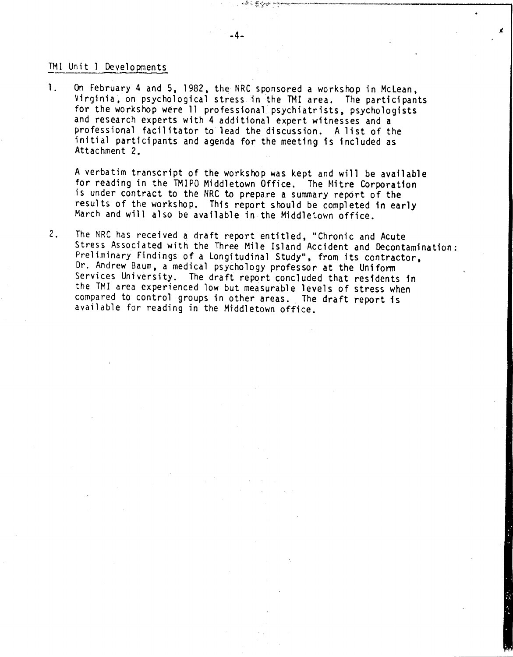#### 1Ml Unit) Developments

1. On February 4 and 5, 1982, the NRC sponsored a workshop in McLean, 'Virginia, on psychological stress in the TMI area. The participants for the workshop were 11 professional psychiatrists, psychologists and research experts with 4 additional expert witnesses and a professional facilitator to lead the discussion. A list of the initial participants and agenda for the meeting is included as Attachment 2.

A verbatim transcript of the workshop was kept and will be available for reading in the TMIPO Middletown Office. The Mitre Corporation is under contract to the NRC to prepare a summary report of the results of the workshop. This report should be completed in early March and will also be available in the Middletown office.

2. The NRC has received a draft report entitled, "Chronic and Acute Stress Associated with the Three Mile Island Accident and Decontamination: Preliminary Findings of a Longitudinal Study", from its contractor, Dr. Andrew Baum, a medical psychology professor at the Uniform Services University. The draft report concluded that residents in the TM! area experienced low but measurable levels of stress when compared to control groups in other areas. The draft report is available for reading in the Middletown office.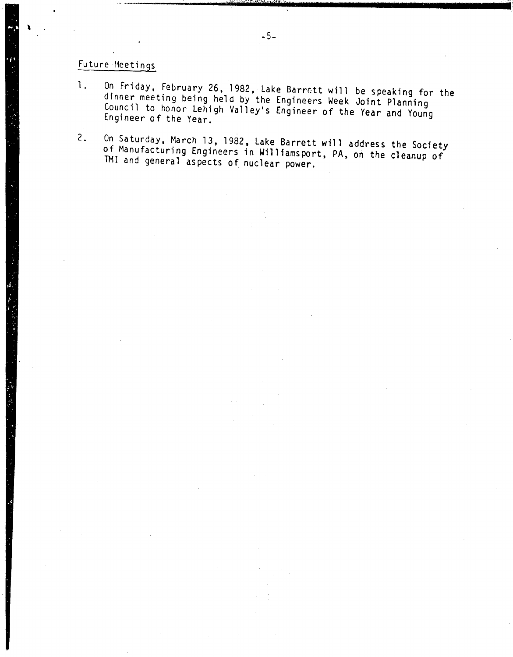## Future Meetings

\

- 1. On Friday, February 26, 1982, Lake Barrett will be speaking for the dinner meeting being held by the Engineers Week Joint Planning Council to honor Lehigh Valley's Engineer of the Year and Young Engineer of the Year.
- 2. On Saturday, March 13, 1982, Lake Barrett will address the Society of Manufacturing Engineers in Williamsport, PA, on the cleanup of TM! and general aspects of nuclear power.

-'5:.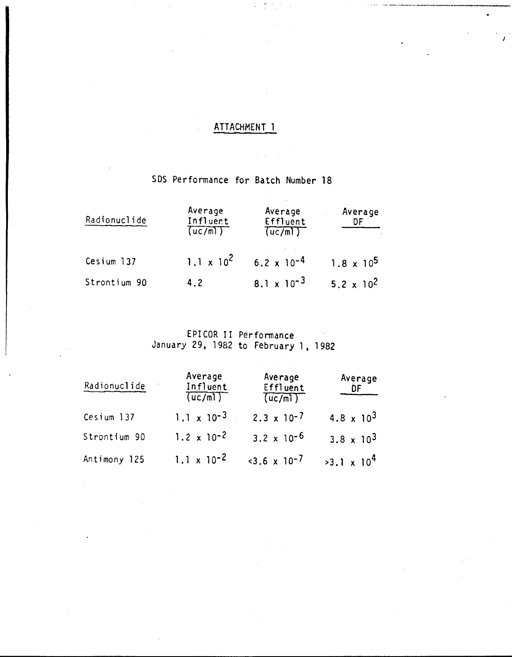## ATTACHMENT 1

 $\lambda$  ,  $\lambda$  ,  $\lambda$ 

 $\mathcal{L} \in \mathcal{L}^{\mathcal{L}}$ 

## SDS Performance for Batch Number 18

| Radionuclide | Average<br>Influent<br>(uc/m) | Average<br>Effluent<br>(uc/m) | Average<br>DF                |
|--------------|-------------------------------|-------------------------------|------------------------------|
| Cesium 137   | $1.1 \times 10^2$             | $6.2 \times 10^{-4}$          | $1.8 \times 10^5$            |
| Strontium 90 | 4.2                           | 8.1 x $10^{-3}$               | 5.2 $\times$ 10 <sup>2</sup> |

# EPICOR II Performance<br>January 29, 1982 to February 1, 1982

| Radionuclide | Average<br>Influent<br>(uc/m) | Average<br>Effluent<br>(uc/m) | Average<br>DF                |
|--------------|-------------------------------|-------------------------------|------------------------------|
| Cesium 137   | $1.1 \times 10^{-3}$          | $2.3 \times 10^{-7}$          | 4.8 $\times$ 10 <sup>3</sup> |
| Strontium 90 | $1.2 \times 10^{-2}$          | $3.2 \times 10^{-6}$          | $3.8 \times 10^{3}$          |
| Antimony 125 | $1.1 \times 10^{-2}$          | $<3.6 \times 10^{-7}$         | $>3.1 \times 10^{4}$         |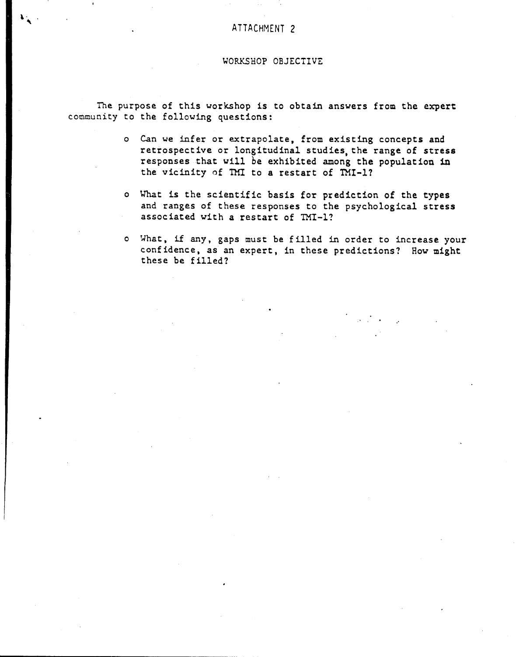#### ATTACHMENT 2

#### WORKSHOP OBJECTIVE

The purpose of this workshop is to obtain answers from the expert community to the following questions:

---------------------------------------------\_.\_--

- o Can we infer or extrapolate, from existing concepts and retrospective or longitudinal studies, the range of stress responses that will be exhibited among the population in the vicinity of TMI to a restart of TMI-1?
- o What is the scientific basis for prediction of the types and ranges of these responses to the psychological stress associated with a restart of TMI-1?
- o What. if any. gaps must be filled in order to increase your confidence. as an expert. in these predictions? How might these be filled?

"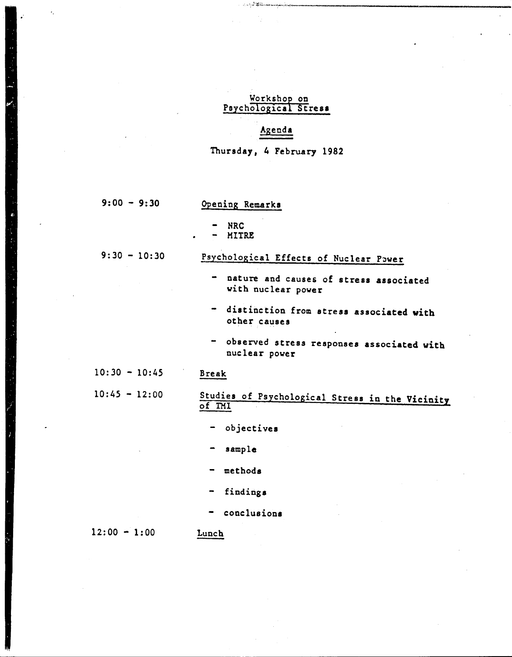#### <u>Workshop on</u> Psychological Stress

#### Agenda

Thursday, 4 February 1982

 $9:00 - 9:30$ 

### Opening Remarks

- NRC
- MITRE

 $9:30 - 10:30$ 

## Psychological Effects of Nuclear Power

- nature and causes of stress associated with nuclear power

.,\.J";;:';;~~"•...•..,\_",,;;,..••,,,,~~,:...!.\_. • \_

- distinction from stress associated with other causes
- observed stress responses associated with nuclear power

#### $10:30 - 10:45$ Break

 $10:45 - 12:00$ 

#### Studies of Psychological Stress in the Vicinity of IMI

- objectives

sample

- methods
- findings
- conclusions

 $12:00 - 1:00$ 

**Lunch**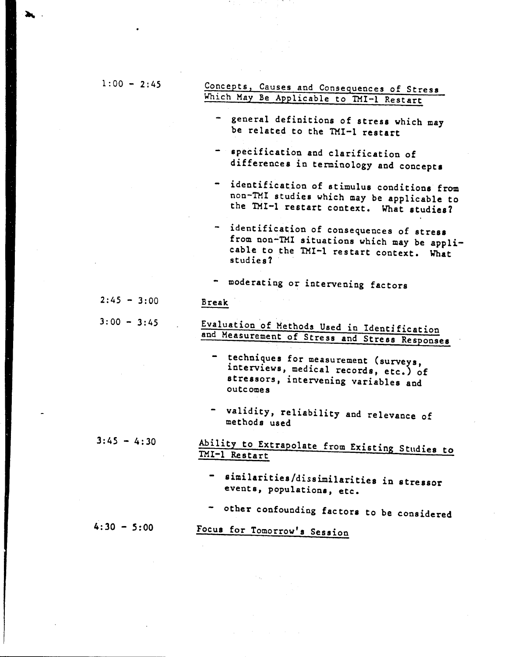| $1:00 - 2:45$ | Concepts, Causes and Consequences of Stress                                                                                                       |
|---------------|---------------------------------------------------------------------------------------------------------------------------------------------------|
|               | Which May Be Applicable to TMI-1 Restart                                                                                                          |
|               | - general definitions of stress which may<br>be related to the TMI-1 restart                                                                      |
|               |                                                                                                                                                   |
|               | $\rightarrow$<br>specification and clarification of<br>differences in terminology and concepts                                                    |
|               | - identification of stimulus conditions from<br>non-TMI studies which may be applicable to<br>the TMI-1 restart context. What studies?            |
|               | - identification of consequences of stress<br>from non-TMI situations which may be appli-<br>cable to the TMI-1 restart context. What<br>studies? |
|               | - moderating or intervening factors                                                                                                               |
| $2:45 - 3:00$ | Break                                                                                                                                             |
| $3:00 - 3:45$ | Evaluation of Methods Used in Identification<br>and Measurement of Stress and Stress Responses                                                    |
|               | - techniques for measurement (surveys,<br>interviews, medical records, etc.) of<br>stressors, intervening variables and<br><b>outcomes</b>        |
|               | - validity, reliability and relevance of<br>methods used                                                                                          |
| $3:45 - 4:30$ | Ability to Extrapolate from Existing Studies to<br>TMI-1 Restart                                                                                  |
|               | - similarities/dissimilarities in stressor<br>events, populations, etc.                                                                           |
|               | - other confounding factors to be considered                                                                                                      |
| $4:30 - 5:00$ | Focus for Tomorrow's Session                                                                                                                      |
|               |                                                                                                                                                   |

 $\label{eq:3} \begin{split} \mathcal{D}_{\mathbf{X}} &= \mathcal{D}_{\mathbf{X}}\left(\mathcal{D}_{\mathbf{X}}\right) \mathcal{D}_{\mathbf{X}}\left(\mathcal{D}_{\mathbf{X}}\right) \mathcal{D}_{\mathbf{X}}\left(\mathcal{D}_{\mathbf{X}}\right) \mathcal{D}_{\mathbf{X}}\left(\mathcal{D}_{\mathbf{X}}\right) \mathcal{D}_{\mathbf{X}}\left(\mathcal{D}_{\mathbf{X}}\right) \mathcal{D}_{\mathbf{X}}\left(\mathcal{D}_{\mathbf{X}}\right) \mathcal{D}_{\mathbf{X}}\left(\mathcal{D}_{\$ 

da serie (1968)<br>Serie Serie<br>Serie Serie

~.

 $\overline{\phantom{a}}$ 

 $\label{eq:2.1} \frac{1}{2}\sum_{i=1}^n\frac{1}{2}\sum_{j=1}^n\frac{1}{2}\sum_{j=1}^n\frac{1}{2}\sum_{j=1}^n\frac{1}{2}\sum_{j=1}^n\frac{1}{2}\sum_{j=1}^n\frac{1}{2}\sum_{j=1}^n\frac{1}{2}\sum_{j=1}^n\frac{1}{2}\sum_{j=1}^n\frac{1}{2}\sum_{j=1}^n\frac{1}{2}\sum_{j=1}^n\frac{1}{2}\sum_{j=1}^n\frac{1}{2}\sum_{j=1}^n\frac{1}{2}\sum_{j=1}^n\$ 

 $\bullet$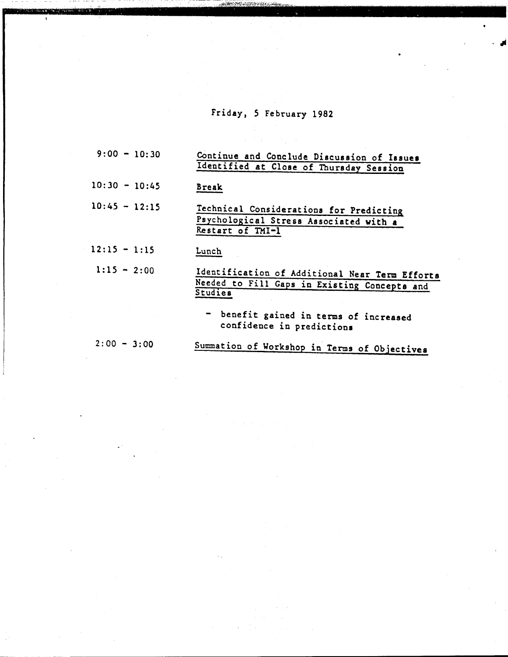## Friday, 5 February 1982

.<br>∙ J

| $9:00 - 10:30$  | Continue and Conclude Discussion of Issues<br>Identified at Close of Thursday Session                     |
|-----------------|-----------------------------------------------------------------------------------------------------------|
| $10:30 - 10:45$ | <b>Break</b>                                                                                              |
| $10:45 - 12:15$ | Technical Considerations for Predicting<br>Psychological Stress Associated with a<br>Restart of TMI-1     |
| $12:15 - 1:15$  | Lunch                                                                                                     |
| $1:15 - 2:00$   | Identification of Additional Near Term Efforts<br>Needed to Fill Gaps in Existing Concepts and<br>Studies |
|                 | - benefit gained in terms of increased<br>confidence in predictions                                       |
| $2:00 - 3:00$   | Summation of Workshop in Terms of Objectives                                                              |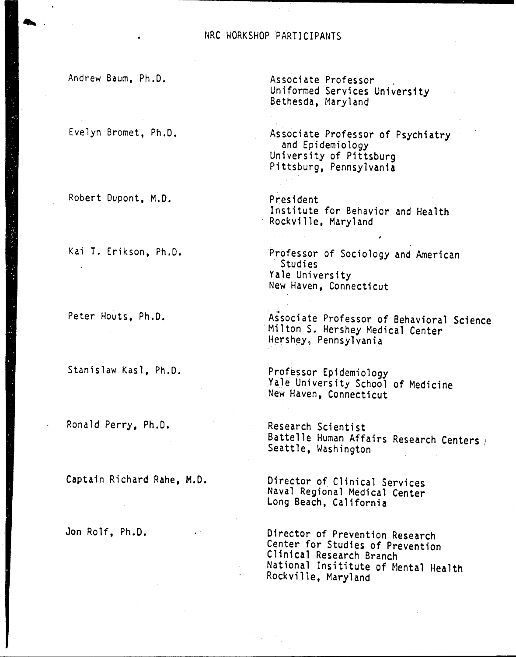#### NRC WORKSHOP PARTICIPANTS

Andrew Baum, Ph.D.

••••

Evelyn Bromet, Ph.D.

Robert Dupont, M.D.

Kai T. Erikson, Ph.D.

Peter Houts, Ph.D.

Stanislaw Kasl, Ph.D.

Ronald Perry, Ph.D.

Captain Richard Rahe, M.D.

Jon Rolf, Ph.D.

Associate Professor . Uniformed Services University Bethesda, Maryland

Associate Professor of Psychiatry and Epidemiology University of Pittsburg Pittsburg, Pennsylvania

President Institute for Behavior and Health Rockville, Maryland

Professor of Sociology and American Studies Yale University New Haven, Connecticut

Aisociate Professor of Behavioral Science .Milton S. Hershey Medical Center Hershey, Pennsylvania

Professor Epidemiology Yale University School of Medicine New Haven, Connecticut

Research Scientist Battelle Human Affairs Research Centers ( Seattle, Washington

Director of Clinical Services Naval Regional Medical Center Long Beach, California

Director of Prevention Research Center for Studies of Prevention Clinical Research Branch National Insititute of Mental Health Rockville, Maryland